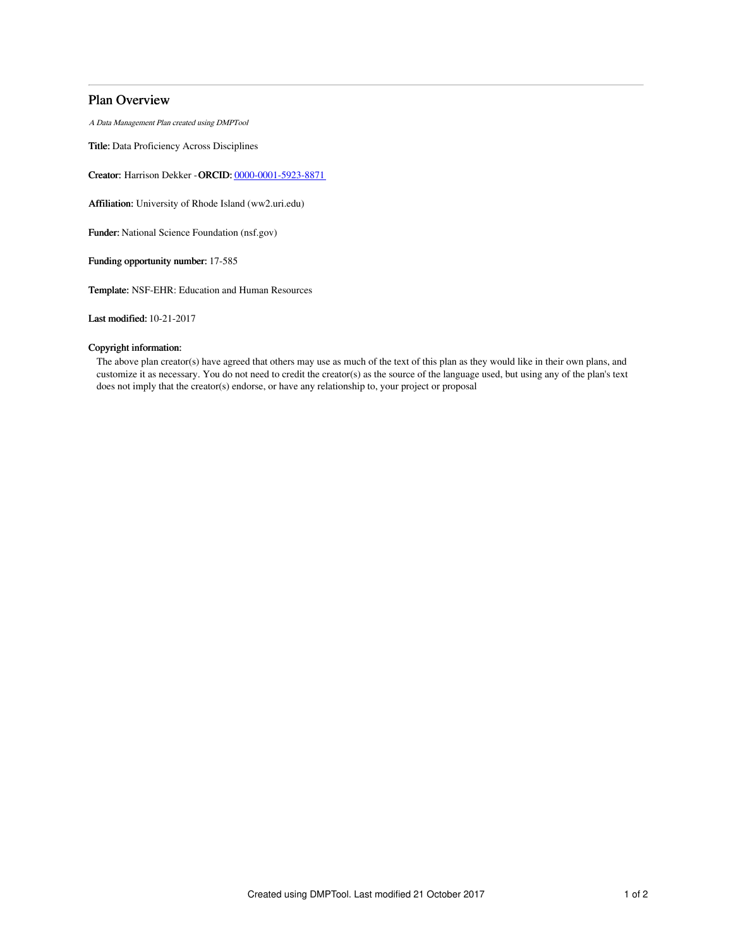## Plan Overview

A Data Management Plan created using DMPTool

Title: Data Proficiency Across Disciplines

Creator: Harrison Dekker -ORCID: [0000-0001-5923-8871](https://orcid.org/0000-0001-5923-8871)

Affiliation: University of Rhode Island (ww2.uri.edu)

Funder: National Science Foundation (nsf.gov)

Funding opportunity number: 17-585

Template: NSF-EHR: Education and Human Resources

Last modified: 10-21-2017

### Copyright information:

The above plan creator(s) have agreed that others may use as much of the text of this plan as they would like in their own plans, and customize it as necessary. You do not need to credit the creator(s) as the source of the language used, but using any of the plan's text does not imply that the creator(s) endorse, or have any relationship to, your project or proposal